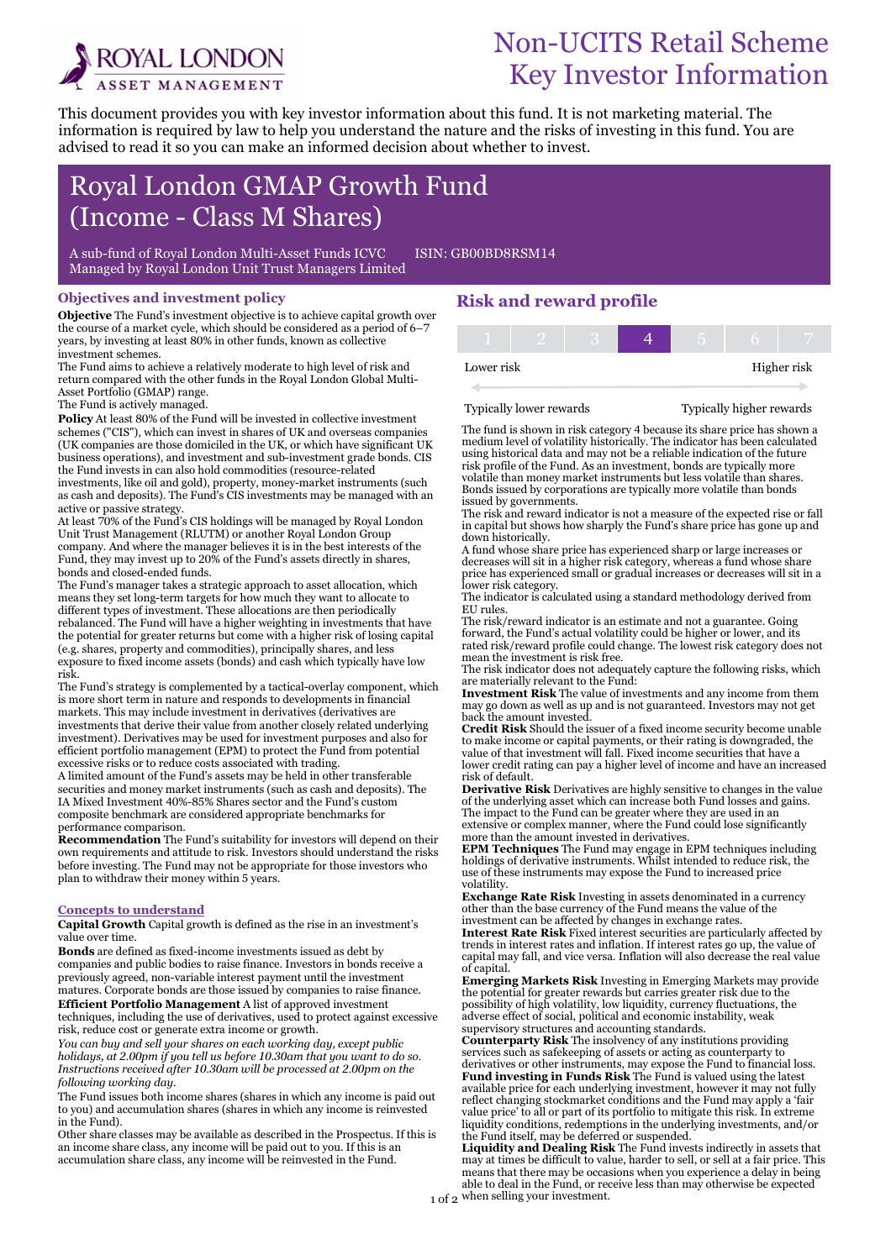

# Non-UCITS Retail Scheme Key Investor Information

This document provides you with key investor information about this fund. It is not marketing material. The information is required by law to help you understand the nature and the risks of investing in this fund. You are advised to read it so you can make an informed decision about whether to invest.

# Royal London GMAP Growth Fund (Income - Class M Shares)

A sub-fund of Royal London Multi-Asset Funds ICVC ISIN: GB00BD8RSM14 Managed by Royal London Unit Trust Managers Limited

### Objectives and investment policy

Objective The Fund's investment objective is to achieve capital growth over the course of a market cycle, which should be considered as a period of 6–7 years, by investing at least 80% in other funds, known as collective investment schemes.

The Fund aims to achieve a relatively moderate to high level of risk and return compared with the other funds in the Royal London Global Multi-Asset Portfolio (GMAP) range.

The Fund is actively managed.

Ī

Policy At least 80% of the Fund will be invested in collective investment schemes ("CIS"), which can invest in shares of UK and overseas companies (UK companies are those domiciled in the UK, or which have significant UK business operations), and investment and sub-investment grade bonds. CIS the Fund invests in can also hold commodities (resource-related investments, like oil and gold), property, money-market instruments (such as cash and deposits). The Fund's CIS investments may be managed with an active or passive strategy.

At least 70% of the Fund's CIS holdings will be managed by Royal London Unit Trust Management (RLUTM) or another Royal London Group company. And where the manager believes it is in the best interests of the Fund, they may invest up to 20% of the Fund's assets directly in shares, bonds and closed-ended funds.

The Fund's manager takes a strategic approach to asset allocation, which means they set long-term targets for how much they want to allocate to different types of investment. These allocations are then periodically rebalanced. The Fund will have a higher weighting in investments that have the potential for greater returns but come with a higher risk of losing capital (e.g. shares, property and commodities), principally shares, and less exposure to fixed income assets (bonds) and cash which typically have low risk.

The Fund's strategy is complemented by a tactical-overlay component, which is more short term in nature and responds to developments in financial markets. This may include investment in derivatives (derivatives are investments that derive their value from another closely related underlying investment). Derivatives may be used for investment purposes and also for efficient portfolio management (EPM) to protect the Fund from potential excessive risks or to reduce costs associated with trading.

A limited amount of the Fund's assets may be held in other transferable securities and money market instruments (such as cash and deposits). The IA Mixed Investment 40%-85% Shares sector and the Fund's custom composite benchmark are considered appropriate benchmarks for performance comparison.

Recommendation The Fund's suitability for investors will depend on their own requirements and attitude to risk. Investors should understand the risks before investing. The Fund may not be appropriate for those investors who plan to withdraw their money within 5 years.

#### Concepts to understand

Capital Growth Capital growth is defined as the rise in an investment's value over time.

Bonds are defined as fixed-income investments issued as debt by companies and public bodies to raise finance. Investors in bonds receive a previously agreed, non-variable interest payment until the investment matures. Corporate bonds are those issued by companies to raise finance. Efficient Portfolio Management A list of approved investment

techniques, including the use of derivatives, used to protect against excessive risk, reduce cost or generate extra income or growth.

You can buy and sell your shares on each working day, except public holidays, at 2.00pm if you tell us before 10.30am that you want to do so. Instructions received after 10.30am will be processed at 2.00pm on the following working day.

The Fund issues both income shares (shares in which any income is paid out to you) and accumulation shares (shares in which any income is reinvested in the Fund).

Other share classes may be available as described in the Prospectus. If this is an income share class, any income will be paid out to you. If this is an accumulation share class, any income will be reinvested in the Fund.

# Risk and reward profile

| Lower risk |  |  | Higher risk |
|------------|--|--|-------------|

#### Typically lower rewards Typically higher rewards

The fund is shown in risk category 4 because its share price has shown a medium level of volatility historically. The indicator has been calculated using historical data and may not be a reliable indication of the future risk profile of the Fund. As an investment, bonds are typically more volatile than money market instruments but less volatile than shares. Bonds issued by corporations are typically more volatile than bonds issued by governments.

The risk and reward indicator is not a measure of the expected rise or fall in capital but shows how sharply the Fund's share price has gone up and down historically.

A fund whose share price has experienced sharp or large increases or decreases will sit in a higher risk category, whereas a fund whose share price has experienced small or gradual increases or decreases will sit in a lower risk category.

The indicator is calculated using a standard methodology derived from EU rules.

The risk/reward indicator is an estimate and not a guarantee. Going forward, the Fund's actual volatility could be higher or lower, and its rated risk/reward profile could change. The lowest risk category does not mean the investment is risk free.

The risk indicator does not adequately capture the following risks, which are materially relevant to the Fund:

Investment Risk The value of investments and any income from them may go down as well as up and is not guaranteed. Investors may not get back the amount invested.

Credit Risk Should the issuer of a fixed income security become unable to make income or capital payments, or their rating is downgraded, the value of that investment will fall. Fixed income securities that have a lower credit rating can pay a higher level of income and have an increased risk of default.

Derivative Risk Derivatives are highly sensitive to changes in the value of the underlying asset which can increase both Fund losses and gains. The impact to the Fund can be greater where they are used in an extensive or complex manner, where the Fund could lose significantly more than the amount invested in derivatives.

**EPM Techniques** The Fund may engage in EPM techniques including holdings of derivative instruments. Whilst intended to reduce risk, the use of these instruments may expose the Fund to increased price volatility.

Exchange Rate Risk Investing in assets denominated in a currency other than the base currency of the Fund means the value of the investment can be affected by changes in exchange rates.

Interest Rate Risk Fixed interest securities are particularly affected by trends in interest rates and inflation. If interest rates go up, the value of capital may fall, and vice versa. Inflation will also decrease the real value of capital.

Emerging Markets Risk Investing in Emerging Markets may provide the potential for greater rewards but carries greater risk due to the possibility of high volatility, low liquidity, currency fluctuations, the adverse effect of social, political and economic instability, weak supervisory structures and accounting standards.

Counterparty Risk The insolvency of any institutions providing services such as safekeeping of assets or acting as counterparty to derivatives or other instruments, may expose the Fund to financial loss. **Fund investing in Funds Risk** The Fund is valued using the latest available price for each underlying investment, however it may not fully reflect changing stockmarket conditions and the Fund may apply a 'fair value price' to all or part of its portfolio to mitigate this risk. In extreme liquidity conditions, redemptions in the underlying investments, and/or the Fund itself, may be deferred or suspended.

1 of 2 when selling your investment. Liquidity and Dealing Risk The Fund invests indirectly in assets that may at times be difficult to value, harder to sell, or sell at a fair price. This means that there may be occasions when you experience a delay in being able to deal in the Fund, or receive less than may otherwise be expected